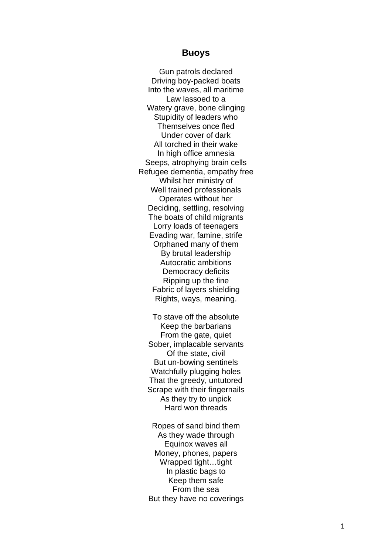# **B uoys**

Gun patrols declared Driving boy -packed boats Into the waves, all maritime Law lassoed to a Watery grave, bone clinging Stupidity of leaders who Themselves once fled Under cover of dark All torched in their wake In high office amnesia Seeps, atrophying brain cells Refugee dementia, empathy free Whilst her ministry of Well trained professionals Operates without her Deciding, settling, resolving The boats of child migrants Lorry loads of teenagers Evading war, famine, strife Orphaned many of them By brutal leadership Autocratic ambitions Democracy deficits Ripping up the fine Fabric of layers shielding Rights, ways, meaning .

To stave off the absolute Keep the barbarians From the gate, quiet Sober, implacable servants Of the state, civil But un -bowing sentinels Watchfully plugging holes That the greedy, untutored Scrape with their fingernails As they try to unpick Hard won threads

Ropes of sand bind them As they wade through Equinox waves all Money, phones, papers Wrapped tight…tight In plastic bags to Keep them safe From the sea But they have no coverings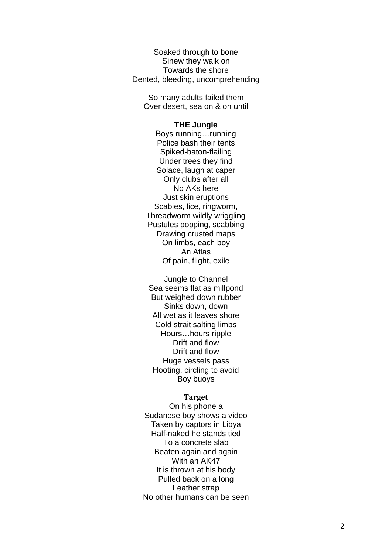Soaked through to bone Sinew they walk on Towards the shore Dented, bleeding, uncomprehending

So many adults failed them Over desert, sea on & on until

## **THE Jungle**

Boys running…running Police bash their tents Spiked -baton -flailing Under trees they find Solace, laugh at caper Only clubs after all No AKs here Just skin eruptions Scabies, lice, ringworm, Threadworm wildly wriggling Pustules popping, scabbing Drawing crusted maps On limbs, each boy An Atlas Of pain, flight, exile

Jungle to Channel Sea seems flat as millpond But weighed down rubber Sinks down, down All wet as it leaves shore Cold strait salting limbs Hours…hours ripple Drift and flow Drift and flow Huge vessels pass Hooting, circling to avoid Boy b uoys

### **Target**

On his phone a Sudanese boy shows a video Taken by captors in Libya Half -naked he stands tied To a concrete slab Beaten again and again With an AK47 It is thrown at his body Pulled back on a long Leather strap No other humans can be seen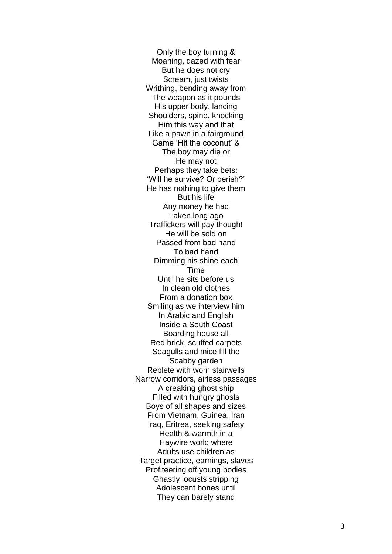Only the boy turning & Moaning, dazed with fear But he does not cry Scream, just twists Writhing, bending away from The weapon as it pounds His upper body, lancing Shoulders, spine, knocking Him this way and that Like a pawn in a fairground Game 'Hit the coconut' & The boy may die or He may not Perhaps they take bets: 'Will he survive? Or perish?' He has nothing to give them But his life Any money he had Taken long ago Traffickers will pay though! He will be sold on Passed from bad hand To bad hand Dimming his shine each **Time** Until he sits before us In clean old clothes From a donation box Smiling as we interview him In Arabic and English Inside a South Coast Boarding house all Red brick, scuffed carpets Seagulls and mice fill the Scabby garden Replete with worn stairwells Narrow corridors, airless passages A creaking ghost ship Filled with hungry ghosts Boys of all shapes and sizes From Vietnam, Guinea, Iran Iraq, Eritrea, seeking safety Health & warmth in a Haywire world where Adults use children as Target practice, earnings, slaves Profiteering off young bodies Ghastly locusts stripping Adolescent bones until They can barely stand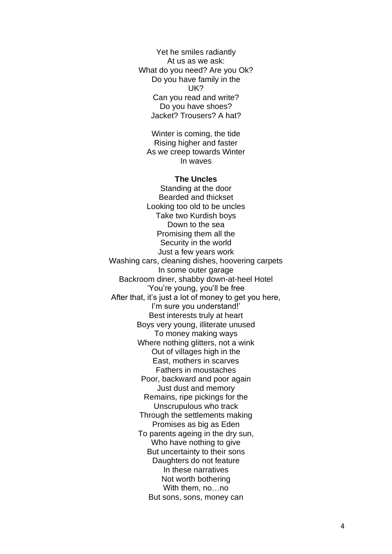Yet he smiles radiantly At us as we ask: What do you need? Are you Ok? Do you have family in the UK? Can you read and write? Do you have shoes? Jacket? Trousers? A hat?

Winter is coming, the tide Rising higher and faster As we creep towards Winter In waves

### **The Uncles**

Standing at the door Bearded and thickset Looking too old to be uncles Take two Kurdish boys Down to the sea Promising them all the Security in the world Just a few years work Washing cars, cleaning dishes, hoovering carpets In some outer garage Backroom diner, shabby down-at-heel Hotel 'You're young, you'll be free After that, it's just a lot of money to get you here, I'm sure you understand!' Best interests truly at heart Boys very young, illiterate unused To money making ways Where nothing glitters, not a wink Out of villages high in the East, mothers in scarves Fathers in moustaches Poor, backward and poor again Just dust and memory Remains, ripe pickings for the Unscrupulous who track Through the settlements making Promises as big as Eden To parents ageing in the dry sun, Who have nothing to give But uncertainty to their sons Daughters do not feature In these narratives Not worth bothering With them, no…no But sons, sons, money can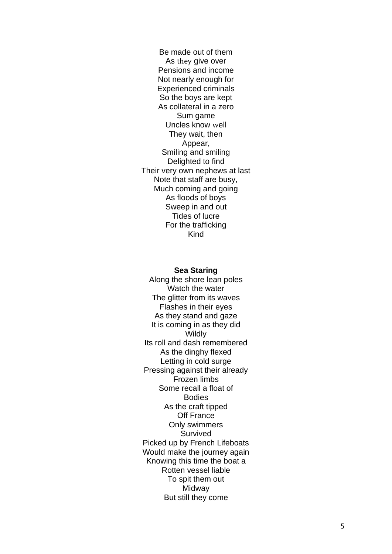Be made out of them As they give over Pensions and income Not nearly enough for Experienced criminals So the boys are kept As collateral in a zero Sum game Uncles know well They wait, then Appear, Smiling and smiling Delighted to find Their very own nephews at last Note that staff are busy, Much coming and going As floods of boys Sweep in and out Tides of lucre For the trafficking Kind

### **Sea Staring**

Along the shore lean poles Watch the water The glitter from its waves Flashes in their eyes As they stand and gaze It is coming in as they did **Wildly** Its roll and dash remembered As the dinghy flexed Letting in cold surge Pressing against their already Frozen limbs Some recall a float of **Bodies** As the craft tipped Off France Only swimmers Survived Picked up by French Lifeboats Would make the journey again Knowing this time the boat a Rotten vessel liable To spit them out Midway But still they come